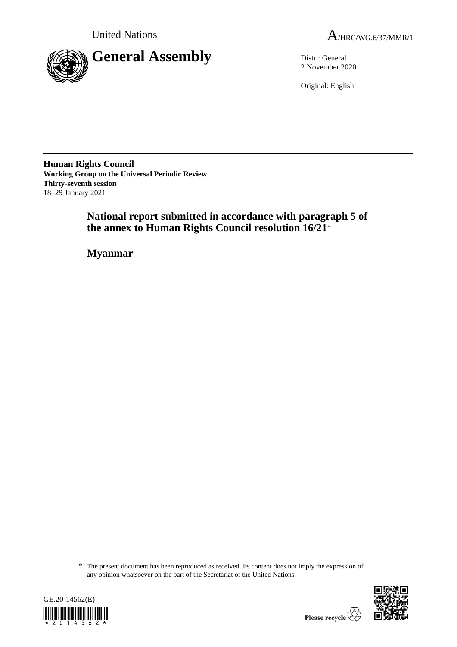

2 November 2020

Original: English

**Human Rights Council Working Group on the Universal Periodic Review Thirty-seventh session** 18–29 January 2021

> **National report submitted in accordance with paragraph 5 of the annex to Human Rights Council resolution 16/21**\*

**Myanmar**

<sup>\*</sup> The present document has been reproduced as received. Its content does not imply the expression of any opinion whatsoever on the part of the Secretariat of the United Nations.



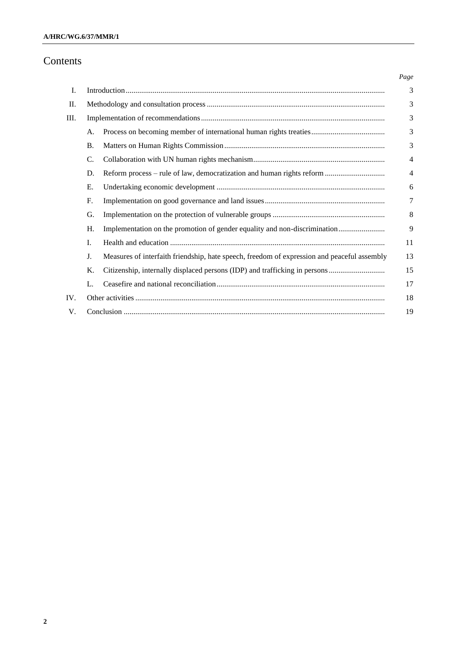# Contents

|     |           |                                                                                             | Page           |
|-----|-----------|---------------------------------------------------------------------------------------------|----------------|
| I.  |           |                                                                                             | 3              |
| П.  |           |                                                                                             | 3              |
| Ш.  |           |                                                                                             |                |
|     | A.        |                                                                                             | 3              |
|     | <b>B.</b> |                                                                                             | 3              |
|     | C.        |                                                                                             | $\overline{4}$ |
|     | D.        | Reform process – rule of law, democratization and human rights reform                       | $\overline{4}$ |
|     | E.        |                                                                                             | 6              |
|     | F.        |                                                                                             | 7              |
|     | G.        |                                                                                             | 8              |
|     | H.        | Implementation on the promotion of gender equality and non-discrimination                   | 9              |
|     | Ι.        |                                                                                             | 11             |
|     | J.        | Measures of interfaith friendship, hate speech, freedom of expression and peaceful assembly | 13             |
|     | Κ.        |                                                                                             | 15             |
|     | L.        |                                                                                             | 17             |
| IV. |           |                                                                                             | 18             |
| V.  | 19        |                                                                                             |                |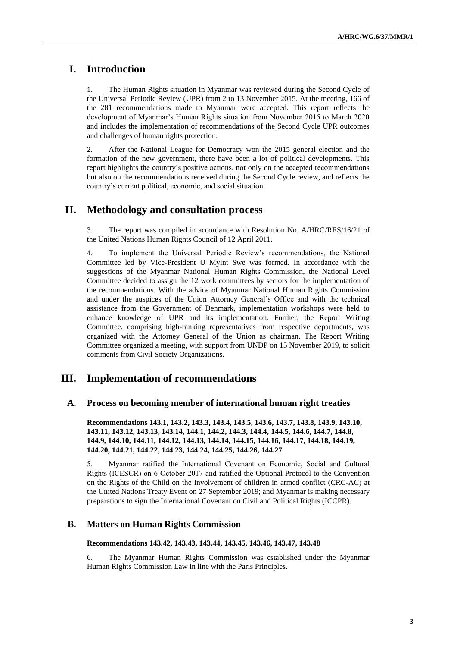# **I. Introduction**

1. The Human Rights situation in Myanmar was reviewed during the Second Cycle of the Universal Periodic Review (UPR) from 2 to 13 November 2015. At the meeting, 166 of the 281 recommendations made to Myanmar were accepted. This report reflects the development of Myanmar's Human Rights situation from November 2015 to March 2020 and includes the implementation of recommendations of the Second Cycle UPR outcomes and challenges of human rights protection.

2. After the National League for Democracy won the 2015 general election and the formation of the new government, there have been a lot of political developments. This report highlights the country's positive actions, not only on the accepted recommendations but also on the recommendations received during the Second Cycle review, and reflects the country's current political, economic, and social situation.

## **II. Methodology and consultation process**

3. The report was compiled in accordance with Resolution No. A/HRC/RES/16/21 of the United Nations Human Rights Council of 12 April 2011.

4. To implement the Universal Periodic Review's recommendations, the National Committee led by Vice-President U Myint Swe was formed. In accordance with the suggestions of the Myanmar National Human Rights Commission, the National Level Committee decided to assign the 12 work committees by sectors for the implementation of the recommendations. With the advice of Myanmar National Human Rights Commission and under the auspices of the Union Attorney General's Office and with the technical assistance from the Government of Denmark, implementation workshops were held to enhance knowledge of UPR and its implementation. Further, the Report Writing Committee, comprising high-ranking representatives from respective departments, was organized with the Attorney General of the Union as chairman. The Report Writing Committee organized a meeting, with support from UNDP on 15 November 2019, to solicit comments from Civil Society Organizations.

## **III. Implementation of recommendations**

#### **A. Process on becoming member of international human right treaties**

**Recommendations 143.1, 143.2, 143.3, 143.4, 143.5, 143.6, 143.7, 143.8, 143.9, 143.10, 143.11, 143.12, 143.13, 143.14, 144.1, 144.2, 144.3, 144.4, 144.5, 144.6, 144.7, 144.8, 144.9, 144.10, 144.11, 144.12, 144.13, 144.14, 144.15, 144.16, 144.17, 144.18, 144.19, 144.20, 144.21, 144.22, 144.23, 144.24, 144.25, 144.26, 144.27**

5. Myanmar ratified the International Covenant on Economic, Social and Cultural Rights (ICESCR) on 6 October 2017 and ratified the Optional Protocol to the Convention on the Rights of the Child on the involvement of children in armed conflict (CRC-AC) at the United Nations Treaty Event on 27 September 2019; and Myanmar is making necessary preparations to sign the International Covenant on Civil and Political Rights (ICCPR).

### **B. Matters on Human Rights Commission**

#### **Recommendations 143.42, 143.43, 143.44, 143.45, 143.46, 143.47, 143.48**

6. The Myanmar Human Rights Commission was established under the Myanmar Human Rights Commission Law in line with the Paris Principles.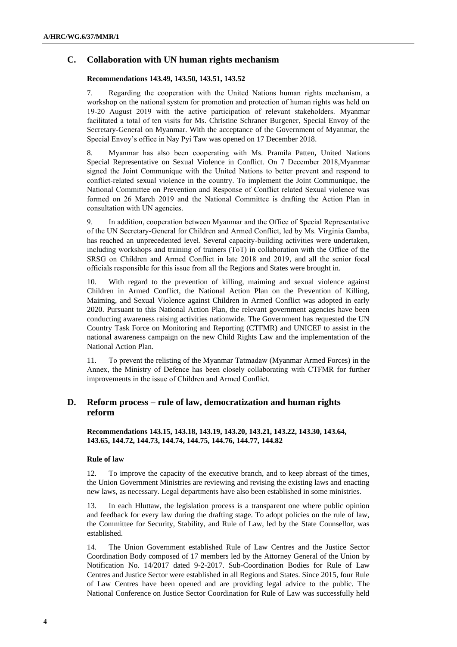## **C. Collaboration with UN human rights mechanism**

#### **Recommendations 143.49, 143.50, 143.51, 143.52**

7. Regarding the cooperation with the United Nations human rights mechanism, a workshop on the national system for promotion and protection of human rights was held on 19-20 August 2019 with the active participation of relevant stakeholders. Myanmar facilitated a total of ten visits for Ms. Christine Schraner Burgener, Special Envoy of the Secretary-General on Myanmar. With the acceptance of the Government of Myanmar, the Special Envoy's office in Nay Pyi Taw was opened on 17 December 2018.

8. Myanmar has also been cooperating with Ms. Pramila Patten**,** United Nations Special Representative on Sexual Violence in Conflict. On 7 December 2018,Myanmar signed the Joint Communique with the United Nations to better prevent and respond to conflict-related sexual violence in the country. To implement the Joint Communique, the National Committee on Prevention and Response of Conflict related Sexual violence was formed on 26 March 2019 and the National Committee is drafting the Action Plan in consultation with UN agencies.

9. In addition, cooperation between Myanmar and the Office of Special Representative of the UN Secretary-General for Children and Armed Conflict, led by Ms. Virginia Gamba, has reached an unprecedented level. Several capacity-building activities were undertaken, including workshops and training of trainers (ToT) in collaboration with the Office of the SRSG on Children and Armed Conflict in late 2018 and 2019, and all the senior focal officials responsible for this issue from all the Regions and States were brought in.

10. With regard to the prevention of killing, maiming and sexual violence against Children in Armed Conflict, the National Action Plan on the Prevention of Killing, Maiming, and Sexual Violence against Children in Armed Conflict was adopted in early 2020. Pursuant to this National Action Plan, the relevant government agencies have been conducting awareness raising activities nationwide. The Government has requested the UN Country Task Force on Monitoring and Reporting (CTFMR) and UNICEF to assist in the national awareness campaign on the new Child Rights Law and the implementation of the National Action Plan.

11. To prevent the relisting of the Myanmar Tatmadaw (Myanmar Armed Forces) in the Annex, the Ministry of Defence has been closely collaborating with CTFMR for further improvements in the issue of Children and Armed Conflict.

## **D. Reform process – rule of law, democratization and human rights reform**

### **Recommendations 143.15, 143.18, 143.19, 143.20, 143.21, 143.22, 143.30, 143.64, 143.65, 144.72, 144.73, 144.74, 144.75, 144.76, 144.77, 144.82**

#### **Rule of law**

12. To improve the capacity of the executive branch, and to keep abreast of the times, the Union Government Ministries are reviewing and revising the existing laws and enacting new laws, as necessary. Legal departments have also been established in some ministries.

13. In each Hluttaw, the legislation process is a transparent one where public opinion and feedback for every law during the drafting stage. To adopt policies on the rule of law, the Committee for Security, Stability, and Rule of Law, led by the State Counsellor, was established.

14. The Union Government established Rule of Law Centres and the Justice Sector Coordination Body composed of 17 members led by the Attorney General of the Union by Notification No. 14/2017 dated 9-2-2017. Sub-Coordination Bodies for Rule of Law Centres and Justice Sector were established in all Regions and States. Since 2015, four Rule of Law Centres have been opened and are providing legal advice to the public. The National Conference on Justice Sector Coordination for Rule of Law was successfully held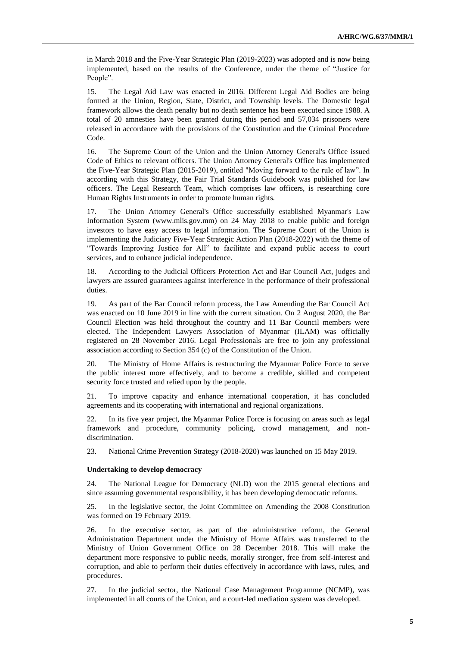in March 2018 and the Five-Year Strategic Plan (2019-2023) was adopted and is now being implemented, based on the results of the Conference, under the theme of "Justice for People".

15. The Legal Aid Law was enacted in 2016. Different Legal Aid Bodies are being formed at the Union, Region, State, District, and Township levels. The Domestic legal framework allows the death penalty but no death sentence has been executed since 1988. A total of 20 amnesties have been granted during this period and 57,034 prisoners were released in accordance with the provisions of the Constitution and the Criminal Procedure Code.

16. The Supreme Court of the Union and the Union Attorney General's Office issued Code of Ethics to relevant officers. The Union Attorney General's Office has implemented the Five-Year Strategic Plan (2015-2019), entitled "Moving forward to the rule of law". In according with this Strategy, the Fair Trial Standards Guidebook was published for law officers. The Legal Research Team, which comprises law officers, is researching core Human Rights Instruments in order to promote human rights.

17. The Union Attorney General's Office successfully established Myanmar's Law Information System [\(www.mlis.gov.mm\)](http://www.mlis.gov.mm/) on 24 May 2018 to enable public and foreign investors to have easy access to legal information. The Supreme Court of the Union is implementing the Judiciary Five-Year Strategic Action Plan (2018-2022) with the theme of "Towards Improving Justice for All" to facilitate and expand public access to court services, and to enhance judicial independence.

18. According to the Judicial Officers Protection Act and Bar Council Act, judges and lawyers are assured guarantees against interference in the performance of their professional duties.

19. As part of the Bar Council reform process, the Law Amending the Bar Council Act was enacted on 10 June 2019 in line with the current situation. On 2 August 2020, the Bar Council Election was held throughout the country and 11 Bar Council members were elected. The Independent Lawyers Association of Myanmar (ILAM) was officially registered on 28 November 2016. Legal Professionals are free to join any professional association according to Section 354 (c) of the Constitution of the Union.

20. The Ministry of Home Affairs is restructuring the Myanmar Police Force to serve the public interest more effectively, and to become a credible, skilled and competent security force trusted and relied upon by the people.

21. To improve capacity and enhance international cooperation, it has concluded agreements and its cooperating with international and regional organizations.

22. In its five year project, the Myanmar Police Force is focusing on areas such as legal framework and procedure, community policing, crowd management, and nondiscrimination.

23. National Crime Prevention Strategy (2018-2020) was launched on 15 May 2019.

#### **Undertaking to develop democracy**

24. The National League for Democracy (NLD) won the 2015 general elections and since assuming governmental responsibility, it has been developing democratic reforms.

25. In the legislative sector, the Joint Committee on Amending the 2008 Constitution was formed on 19 February 2019.

26. In the executive sector, as part of the administrative reform, the General Administration Department under the Ministry of Home Affairs was transferred to the Ministry of Union Government Office on 28 December 2018. This will make the department more responsive to public needs, morally stronger, free from self-interest and corruption, and able to perform their duties effectively in accordance with laws, rules, and procedures.

27. In the judicial sector, the National Case Management Programme (NCMP), was implemented in all courts of the Union, and a court-led mediation system was developed.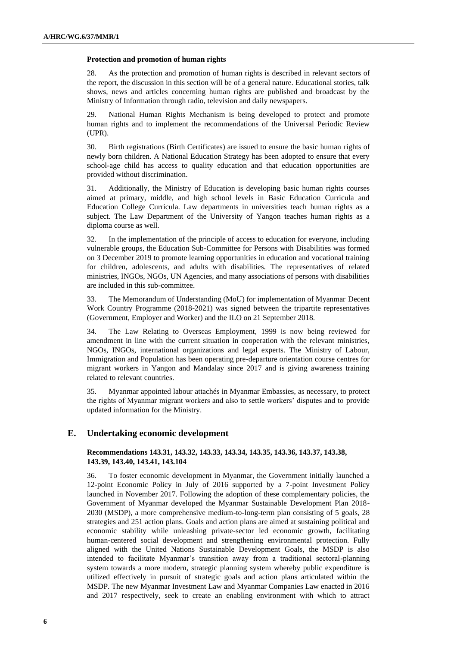#### **Protection and promotion of human rights**

28. As the protection and promotion of human rights is described in relevant sectors of the report, the discussion in this section will be of a general nature. Educational stories, talk shows, news and articles concerning human rights are published and broadcast by the Ministry of Information through radio, television and daily newspapers.

29. National Human Rights Mechanism is being developed to protect and promote human rights and to implement the recommendations of the Universal Periodic Review (UPR).

30. Birth registrations (Birth Certificates) are issued to ensure the basic human rights of newly born children. A National Education Strategy has been adopted to ensure that every school-age child has access to quality education and that education opportunities are provided without discrimination.

31. Additionally, the Ministry of Education is developing basic human rights courses aimed at primary, middle, and high school levels in Basic Education Curricula and Education College Curricula. Law departments in universities teach human rights as a subject. The Law Department of the University of Yangon teaches human rights as a diploma course as well.

32. In the implementation of the principle of access to education for everyone, including vulnerable groups, the Education Sub-Committee for Persons with Disabilities was formed on 3 December 2019 to promote learning opportunities in education and vocational training for children, adolescents, and adults with disabilities. The representatives of related ministries, INGOs, NGOs, UN Agencies, and many associations of persons with disabilities are included in this sub-committee.

33. The Memorandum of Understanding (MoU) for implementation of Myanmar Decent Work Country Programme (2018-2021) was signed between the tripartite representatives (Government, Employer and Worker) and the ILO on 21 September 2018.

34. The Law Relating to Overseas Employment, 1999 is now being reviewed for amendment in line with the current situation in cooperation with the relevant ministries, NGOs, INGOs, international organizations and legal experts. The Ministry of Labour, Immigration and Population has been operating pre-departure orientation course centres for migrant workers in Yangon and Mandalay since 2017 and is giving awareness training related to relevant countries.

35. Myanmar appointed labour attachés in Myanmar Embassies, as necessary, to protect the rights of Myanmar migrant workers and also to settle workers' disputes and to provide updated information for the Ministry.

## **E. Undertaking economic development**

#### **Recommendations 143.31, 143.32, 143.33, 143.34, 143.35, 143.36, 143.37, 143.38, 143.39, 143.40, 143.41, 143.104**

36. To foster economic development in Myanmar, the Government initially launched a 12-point Economic Policy in July of 2016 supported by a 7-point Investment Policy launched in November 2017. Following the adoption of these complementary policies, the Government of Myanmar developed the Myanmar Sustainable Development Plan 2018- 2030 (MSDP), a more comprehensive medium-to-long-term plan consisting of 5 goals, 28 strategies and 251 action plans. Goals and action plans are aimed at sustaining political and economic stability while unleashing private-sector led economic growth, facilitating human-centered social development and strengthening environmental protection. Fully aligned with the United Nations Sustainable Development Goals, the MSDP is also intended to facilitate Myanmar's transition away from a traditional sectoral-planning system towards a more modern, strategic planning system whereby public expenditure is utilized effectively in pursuit of strategic goals and action plans articulated within the MSDP. The new Myanmar Investment Law and Myanmar Companies Law enacted in 2016 and 2017 respectively, seek to create an enabling environment with which to attract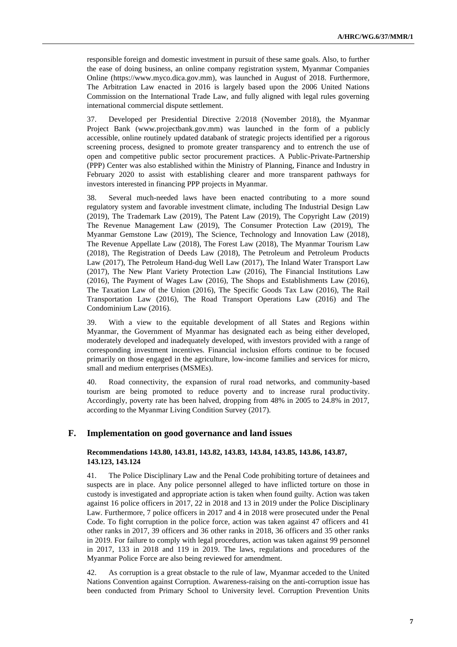responsible foreign and domestic investment in pursuit of these same goals. Also, to further the ease of doing business, an online company registration system, Myanmar Companies Online [\(https://www.myco.dica.gov.mm\)](https://www.myco.dica.gov.mm/), was launched in August of 2018. Furthermore, The Arbitration Law enacted in 2016 is largely based upon the 2006 United Nations Commission on the International Trade Law, and fully aligned with legal rules governing international commercial dispute settlement.

37. Developed per Presidential Directive 2/2018 (November 2018), the Myanmar Project Bank [\(www.projectbank.gov.mm\)](http://www.projectbank.gov.mm/) was launched in the form of a publicly accessible, online routinely updated databank of strategic projects identified per a rigorous screening process, designed to promote greater transparency and to entrench the use of open and competitive public sector procurement practices. A Public-Private-Partnership (PPP) Center was also established within the Ministry of Planning, Finance and Industry in February 2020 to assist with establishing clearer and more transparent pathways for investors interested in financing PPP projects in Myanmar.

38. Several much-needed laws have been enacted contributing to a more sound regulatory system and favorable investment climate, including The Industrial Design Law (2019), The Trademark Law (2019), The Patent Law (2019), The Copyright Law (2019) The Revenue Management Law (2019), The Consumer Protection Law (2019), The Myanmar Gemstone Law (2019), The Science, Technology and Innovation Law (2018), The Revenue Appellate Law (2018), The Forest Law (2018), The Myanmar Tourism Law (2018), The Registration of Deeds Law (2018), The Petroleum and Petroleum Products Law (2017), The Petroleum Hand-dug Well Law (2017), The Inland Water Transport Law (2017), The New Plant Variety Protection Law (2016), The Financial Institutions Law (2016), The Payment of Wages Law (2016), The Shops and Establishments Law (2016), The Taxation Law of the Union (2016), The Specific Goods Tax Law (2016), The Rail Transportation Law (2016), The Road Transport Operations Law (2016) and The Condominium Law (2016).

39. With a view to the equitable development of all States and Regions within Myanmar, the Government of Myanmar has designated each as being either developed, moderately developed and inadequately developed, with investors provided with a range of corresponding investment incentives. Financial inclusion efforts continue to be focused primarily on those engaged in the agriculture, low-income families and services for micro, small and medium enterprises (MSMEs).

40. Road connectivity, the expansion of rural road networks, and community-based tourism are being promoted to reduce poverty and to increase rural productivity. Accordingly, poverty rate has been halved, dropping from 48% in 2005 to 24.8% in 2017, according to the Myanmar Living Condition Survey (2017).

## **F. Implementation on good governance and land issues**

#### **Recommendations 143.80, 143.81, 143.82, 143.83, 143.84, 143.85, 143.86, 143.87, 143.123, 143.124**

41. The Police Disciplinary Law and the Penal Code prohibiting torture of detainees and suspects are in place. Any police personnel alleged to have inflicted torture on those in custody is investigated and appropriate action is taken when found guilty. Action was taken against 16 police officers in 2017, 22 in 2018 and 13 in 2019 under the Police Disciplinary Law. Furthermore, 7 police officers in 2017 and 4 in 2018 were prosecuted under the Penal Code. To fight corruption in the police force, action was taken against 47 officers and 41 other ranks in 2017, 39 officers and 36 other ranks in 2018, 36 officers and 35 other ranks in 2019. For failure to comply with legal procedures, action was taken against 99 personnel in 2017, 133 in 2018 and 119 in 2019. The laws, regulations and procedures of the Myanmar Police Force are also being reviewed for amendment.

42. As corruption is a great obstacle to the rule of law, Myanmar acceded to the United Nations Convention against Corruption. Awareness-raising on the anti-corruption issue has been conducted from Primary School to University level. Corruption Prevention Units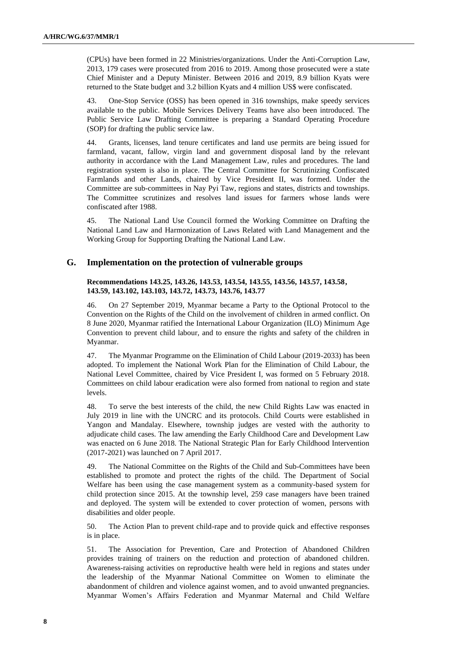(CPUs) have been formed in 22 Ministries/organizations. Under the Anti-Corruption Law, 2013, 179 cases were prosecuted from 2016 to 2019. Among those prosecuted were a state Chief Minister and a Deputy Minister. Between 2016 and 2019, 8.9 billion Kyats were returned to the State budget and 3.2 billion Kyats and 4 million US\$ were confiscated.

43. One-Stop Service (OSS) has been opened in 316 townships, make speedy services available to the public. Mobile Services Delivery Teams have also been introduced. The Public Service Law Drafting Committee is preparing a Standard Operating Procedure (SOP) for drafting the public service law.

44. Grants, licenses, land tenure certificates and land use permits are being issued for farmland, vacant, fallow, virgin land and government disposal land by the relevant authority in accordance with the Land Management Law, rules and procedures. The land registration system is also in place. The Central Committee for Scrutinizing Confiscated Farmlands and other Lands, chaired by Vice President II, was formed. Under the Committee are sub-committees in Nay Pyi Taw, regions and states, districts and townships. The Committee scrutinizes and resolves land issues for farmers whose lands were confiscated after 1988.

45. The National Land Use Council formed the Working Committee on Drafting the National Land Law and Harmonization of Laws Related with Land Management and the Working Group for Supporting Drafting the National Land Law.

### **G. Implementation on the protection of vulnerable groups**

#### **Recommendations 143.25, 143.26, 143.53, 143.54, 143.55, 143.56, 143.57, 143.58, 143.59, 143.102, 143.103, 143.72, 143.73, 143.76, 143.77**

46. On 27 September 2019, Myanmar became a Party to the Optional Protocol to the Convention on the Rights of the Child on the involvement of children in armed conflict. On 8 June 2020, Myanmar ratified the International Labour Organization (ILO) Minimum Age Convention to prevent child labour, and to ensure the rights and safety of the children in Myanmar.

47. The Myanmar Programme on the Elimination of Child Labour (2019-2033) has been adopted. To implement the National Work Plan for the Elimination of Child Labour, the National Level Committee, chaired by Vice President I, was formed on 5 February 2018. Committees on child labour eradication were also formed from national to region and state levels.

48. To serve the best interests of the child, the new Child Rights Law was enacted in July 2019 in line with the UNCRC and its protocols. Child Courts were established in Yangon and Mandalay. Elsewhere, township judges are vested with the authority to adjudicate child cases. The law amending the Early Childhood Care and Development Law was enacted on 6 June 2018. The National Strategic Plan for Early Childhood Intervention (2017-2021) was launched on 7 April 2017.

49. The National Committee on the Rights of the Child and Sub-Committees have been established to promote and protect the rights of the child. The Department of Social Welfare has been using the case management system as a community-based system for child protection since 2015. At the township level, 259 case managers have been trained and deployed. The system will be extended to cover protection of women, persons with disabilities and older people.

50. The Action Plan to prevent child-rape and to provide quick and effective responses is in place.

51. The Association for Prevention, Care and Protection of Abandoned Children provides training of trainers on the reduction and protection of abandoned children. Awareness-raising activities on reproductive health were held in regions and states under the leadership of the Myanmar National Committee on Women to eliminate the abandonment of children and violence against women, and to avoid unwanted pregnancies. Myanmar Women's Affairs Federation and Myanmar Maternal and Child Welfare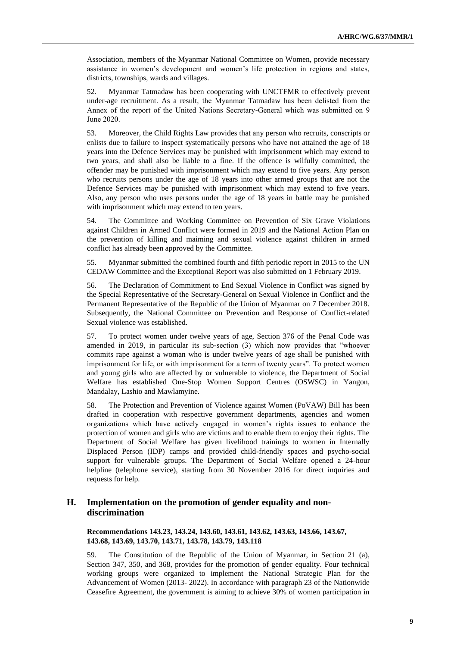Association, members of the Myanmar National Committee on Women, provide necessary assistance in women's development and women's life protection in regions and states, districts, townships, wards and villages.

52. Myanmar Tatmadaw has been cooperating with UNCTFMR to effectively prevent under-age recruitment. As a result, the Myanmar Tatmadaw has been delisted from the Annex of the report of the United Nations Secretary-General which was submitted on 9 June 2020.

53. Moreover, the Child Rights Law provides that any person who recruits, conscripts or enlists due to failure to inspect systematically persons who have not attained the age of 18 years into the Defence Services may be punished with imprisonment which may extend to two years, and shall also be liable to a fine. If the offence is wilfully committed, the offender may be punished with imprisonment which may extend to five years. Any person who recruits persons under the age of 18 years into other armed groups that are not the Defence Services may be punished with imprisonment which may extend to five years. Also, any person who uses persons under the age of 18 years in battle may be punished with imprisonment which may extend to ten years.

54. The Committee and Working Committee on Prevention of Six Grave Violations against Children in Armed Conflict were formed in 2019 and the National Action Plan on the prevention of killing and maiming and sexual violence against children in armed conflict has already been approved by the Committee.

55. Myanmar submitted the combined fourth and fifth periodic report in 2015 to the UN CEDAW Committee and the Exceptional Report was also submitted on 1 February 2019.

56. The Declaration of Commitment to End Sexual Violence in Conflict was signed by the Special Representative of the Secretary-General on Sexual Violence in Conflict and the Permanent Representative of the Republic of the Union of Myanmar on 7 December 2018. Subsequently, the National Committee on Prevention and Response of Conflict-related Sexual violence was established.

57. To protect women under twelve years of age, Section 376 of the Penal Code was amended in 2019, in particular its sub-section (3) which now provides that "whoever commits rape against a woman who is under twelve years of age shall be punished with imprisonment for life, or with imprisonment for a term of twenty years". To protect women and young girls who are affected by or vulnerable to violence, the Department of Social Welfare has established One-Stop Women Support Centres (OSWSC) in Yangon, Mandalay, Lashio and Mawlamyine.

58. The Protection and Prevention of Violence against Women (PoVAW) Bill has been drafted in cooperation with respective government departments, agencies and women organizations which have actively engaged in women's rights issues to enhance the protection of women and girls who are victims and to enable them to enjoy their rights. The Department of Social Welfare has given livelihood trainings to women in Internally Displaced Person (IDP) camps and provided child-friendly spaces and psycho-social support for vulnerable groups. The Department of Social Welfare opened a 24-hour helpline (telephone service), starting from 30 November 2016 for direct inquiries and requests for help.

## **H. Implementation on the promotion of gender equality and nondiscrimination**

**Recommendations 143.23, 143.24, 143.60, 143.61, 143.62, 143.63, 143.66, 143.67, 143.68, 143.69, 143.70, 143.71, 143.78, 143.79, 143.118**

59. The Constitution of the Republic of the Union of Myanmar, in Section 21 (a), Section 347, 350, and 368, provides for the promotion of gender equality. Four technical working groups were organized to implement the National Strategic Plan for the Advancement of Women (2013- 2022). In accordance with paragraph 23 of the Nationwide Ceasefire Agreement, the government is aiming to achieve 30% of women participation in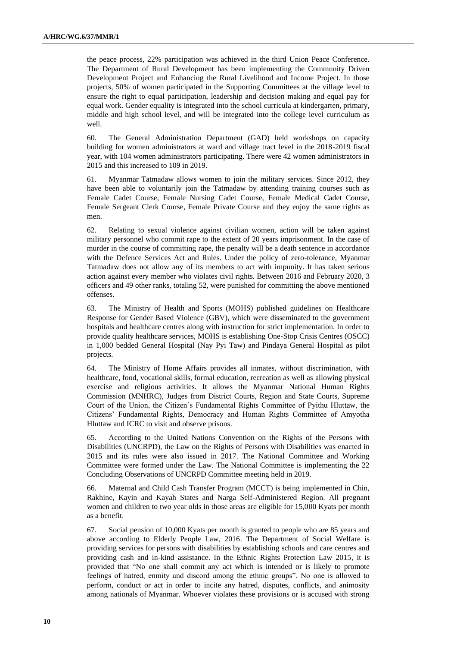the peace process, 22% participation was achieved in the third Union Peace Conference. The Department of Rural Development has been implementing the Community Driven Development Project and Enhancing the Rural Livelihood and Income Project. In those projects, 50% of women participated in the Supporting Committees at the village level to ensure the right to equal participation, leadership and decision making and equal pay for equal work. Gender equality is integrated into the school curricula at kindergarten, primary, middle and high school level, and will be integrated into the college level curriculum as well.

60. The General Administration Department (GAD) held workshops on capacity building for women administrators at ward and village tract level in the 2018-2019 fiscal year, with 104 women administrators participating. There were 42 women administrators in 2015 and this increased to 109 in 2019.

61. Myanmar Tatmadaw allows women to join the military services. Since 2012, they have been able to voluntarily join the Tatmadaw by attending training courses such as Female Cadet Course, Female Nursing Cadet Course, Female Medical Cadet Course, Female Sergeant Clerk Course, Female Private Course and they enjoy the same rights as men.

62. Relating to sexual violence against civilian women, action will be taken against military personnel who commit rape to the extent of 20 years imprisonment. In the case of murder in the course of committing rape, the penalty will be a death sentence in accordance with the Defence Services Act and Rules. Under the policy of zero-tolerance, Myanmar Tatmadaw does not allow any of its members to act with impunity. It has taken serious action against every member who violates civil rights. Between 2016 and February 2020, 3 officers and 49 other ranks, totaling 52, were punished for committing the above mentioned offenses.

63. The Ministry of Health and Sports (MOHS) published guidelines on Healthcare Response for Gender Based Violence (GBV), which were disseminated to the government hospitals and healthcare centres along with instruction for strict implementation. In order to provide quality healthcare services, MOHS is establishing One-Stop Crisis Centres (OSCC) in 1,000 bedded General Hospital (Nay Pyi Taw) and Pindaya General Hospital as pilot projects.

64. The Ministry of Home Affairs provides all inmates, without discrimination, with healthcare, food, vocational skills, formal education, recreation as well as allowing physical exercise and religious activities. It allows the Myanmar National Human Rights Commission (MNHRC), Judges from District Courts, Region and State Courts, Supreme Court of the Union, the Citizen's Fundamental Rights Committee of Pyithu Hluttaw, the Citizens' Fundamental Rights, Democracy and Human Rights Committee of Amyotha Hluttaw and ICRC to visit and observe prisons.

65. According to the United Nations Convention on the Rights of the Persons with Disabilities (UNCRPD), the Law on the Rights of Persons with Disabilities was enacted in 2015 and its rules were also issued in 2017. The National Committee and Working Committee were formed under the Law. The National Committee is implementing the 22 Concluding Observations of UNCRPD Committee meeting held in 2019.

66. Maternal and Child Cash Transfer Program (MCCT) is being implemented in Chin, Rakhine, Kayin and Kayah States and Narga Self-Administered Region. All pregnant women and children to two year olds in those areas are eligible for 15,000 Kyats per month as a benefit.

67. Social pension of 10,000 Kyats per month is granted to people who are 85 years and above according to Elderly People Law, 2016. The Department of Social Welfare is providing services for persons with disabilities by establishing schools and care centres and providing cash and in-kind assistance. In the Ethnic Rights Protection Law 2015, it is provided that "No one shall commit any act which is intended or is likely to promote feelings of hatred, enmity and discord among the ethnic groups". No one is allowed to perform, conduct or act in order to incite any hatred, disputes, conflicts, and animosity among nationals of Myanmar. Whoever violates these provisions or is accused with strong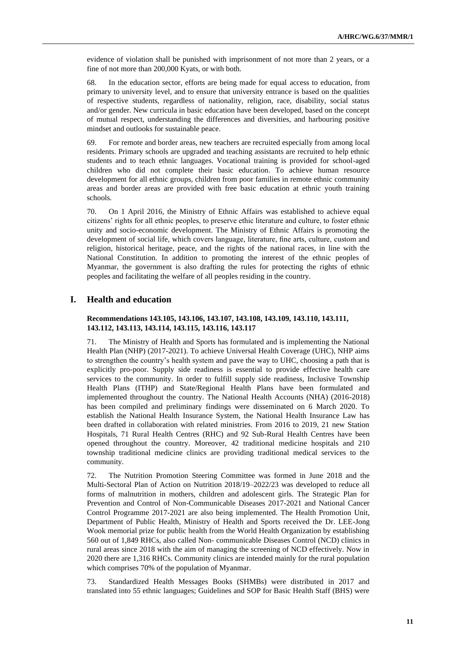evidence of violation shall be punished with imprisonment of not more than 2 years, or a fine of not more than 200,000 Kyats, or with both.

68. In the education sector, efforts are being made for equal access to education, from primary to university level, and to ensure that university entrance is based on the qualities of respective students, regardless of nationality, religion, race, disability, social status and/or gender. New curricula in basic education have been developed, based on the concept of mutual respect, understanding the differences and diversities, and harbouring positive mindset and outlooks for sustainable peace.

69. For remote and border areas, new teachers are recruited especially from among local residents. Primary schools are upgraded and teaching assistants are recruited to help ethnic students and to teach ethnic languages. Vocational training is provided for school-aged children who did not complete their basic education. To achieve human resource development for all ethnic groups, children from poor families in remote ethnic community areas and border areas are provided with free basic education at ethnic youth training schools.

70. On 1 April 2016, the Ministry of Ethnic Affairs was established to achieve equal citizens' rights for all ethnic peoples, to preserve ethic literature and culture, to foster ethnic unity and socio-economic development. The Ministry of Ethnic Affairs is promoting the development of social life, which covers language, literature, fine arts, culture, custom and religion, historical heritage, peace, and the rights of the national races, in line with the National Constitution. In addition to promoting the interest of the ethnic peoples of Myanmar, the government is also drafting the rules for protecting the rights of ethnic peoples and facilitating the welfare of all peoples residing in the country.

### **I. Health and education**

#### **Recommendations 143.105, 143.106, 143.107, 143.108, 143.109, 143.110, 143.111, 143.112, 143.113, 143.114, 143.115, 143.116, 143.117**

71. The Ministry of Health and Sports has formulated and is implementing the National Health Plan (NHP) (2017-2021). To achieve Universal Health Coverage (UHC), NHP aims to strengthen the country's health system and pave the way to UHC, choosing a path that is explicitly pro-poor. Supply side readiness is essential to provide effective health care services to the community. In order to fulfill supply side readiness, Inclusive Township Health Plans (ITHP) and State/Regional Health Plans have been formulated and implemented throughout the country. The National Health Accounts (NHA) (2016-2018) has been compiled and preliminary findings were disseminated on 6 March 2020. To establish the National Health Insurance System, the National Health Insurance Law has been drafted in collaboration with related ministries. From 2016 to 2019, 21 new Station Hospitals, 71 Rural Health Centres (RHC) and 92 Sub-Rural Health Centres have been opened throughout the country. Moreover, 42 traditional medicine hospitals and 210 township traditional medicine clinics are providing traditional medical services to the community.

72. The Nutrition Promotion Steering Committee was formed in June 2018 and the Multi-Sectoral Plan of Action on Nutrition 2018/19–2022/23 was developed to reduce all forms of malnutrition in mothers, children and adolescent girls. The Strategic Plan for Prevention and Control of Non-Communicable Diseases 2017-2021 and National Cancer Control Programme 2017-2021 are also being implemented. The Health Promotion Unit, Department of Public Health, Ministry of Health and Sports received the Dr. LEE-Jong Wook memorial prize for public health from the World Health Organization by establishing 560 out of 1,849 RHCs, also called Non- communicable Diseases Control (NCD) clinics in rural areas since 2018 with the aim of managing the screening of NCD effectively. Now in 2020 there are 1,316 RHCs. Community clinics are intended mainly for the rural population which comprises 70% of the population of Myanmar.

73. Standardized Health Messages Books (SHMBs) were distributed in 2017 and translated into 55 ethnic languages; Guidelines and SOP for Basic Health Staff (BHS) were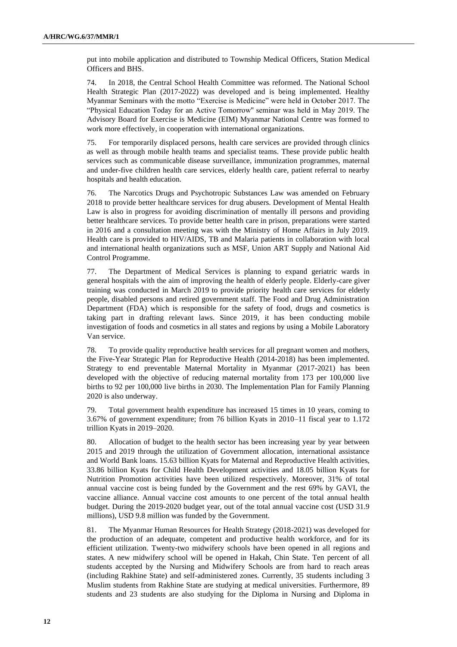put into mobile application and distributed to Township Medical Officers, Station Medical Officers and BHS.

74. In 2018, the Central School Health Committee was reformed. The National School Health Strategic Plan (2017-2022) was developed and is being implemented. Healthy Myanmar Seminars with the motto "Exercise is Medicine" were held in October 2017. The "Physical Education Today for an Active Tomorrow'' seminar was held in May 2019. The Advisory Board for Exercise is Medicine (EIM) Myanmar National Centre was formed to work more effectively, in cooperation with international organizations.

75. For temporarily displaced persons, health care services are provided through clinics as well as through mobile health teams and specialist teams. These provide public health services such as communicable disease surveillance, immunization programmes, maternal and under-five children health care services, elderly health care, patient referral to nearby hospitals and health education.

76. The Narcotics Drugs and Psychotropic Substances Law was amended on February 2018 to provide better healthcare services for drug abusers. Development of Mental Health Law is also in progress for avoiding discrimination of mentally ill persons and providing better healthcare services. To provide better health care in prison, preparations were started in 2016 and a consultation meeting was with the Ministry of Home Affairs in July 2019. Health care is provided to HIV/AIDS, TB and Malaria patients in collaboration with local and international health organizations such as MSF, Union ART Supply and National Aid Control Programme.

77. The Department of Medical Services is planning to expand geriatric wards in general hospitals with the aim of improving the health of elderly people. Elderly-care giver training was conducted in March 2019 to provide priority health care services for elderly people, disabled persons and retired government staff. The Food and Drug Administration Department (FDA) which is responsible for the safety of food, drugs and cosmetics is taking part in drafting relevant laws. Since 2019, it has been conducting mobile investigation of foods and cosmetics in all states and regions by using a Mobile Laboratory Van service.

78. To provide quality reproductive health services for all pregnant women and mothers, the Five-Year Strategic Plan for Reproductive Health (2014-2018) has been implemented. Strategy to end preventable Maternal Mortality in Myanmar (2017-2021) has been developed with the objective of reducing maternal mortality from 173 per 100,000 live births to 92 per 100,000 live births in 2030. The Implementation Plan for Family Planning 2020 is also underway.

79. Total government health expenditure has increased 15 times in 10 years, coming to 3.67% of government expenditure; from 76 billion Kyats in 2010–11 fiscal year to 1.172 trillion Kyats in 2019–2020.

80. Allocation of budget to the health sector has been increasing year by year between 2015 and 2019 through the utilization of Government allocation, international assistance and World Bank loans. 15.63 billion Kyats for Maternal and Reproductive Health activities, 33.86 billion Kyats for Child Health Development activities and 18.05 billion Kyats for Nutrition Promotion activities have been utilized respectively. Moreover, 31% of total annual vaccine cost is being funded by the Government and the rest 69% by GAVI, the vaccine alliance. Annual vaccine cost amounts to one percent of the total annual health budget. During the 2019-2020 budget year, out of the total annual vaccine cost (USD 31.9 millions), USD 9.8 million was funded by the Government.

81. The Myanmar Human Resources for Health Strategy (2018-2021) was developed for the production of an adequate, competent and productive health workforce, and for its efficient utilization. Twenty-two midwifery schools have been opened in all regions and states. A new midwifery school will be opened in Hakah, Chin State. Ten percent of all students accepted by the Nursing and Midwifery Schools are from hard to reach areas (including Rakhine State) and self-administered zones. Currently, 35 students including 3 Muslim students from Rakhine State are studying at medical universities. Furthermore, 89 students and 23 students are also studying for the Diploma in Nursing and Diploma in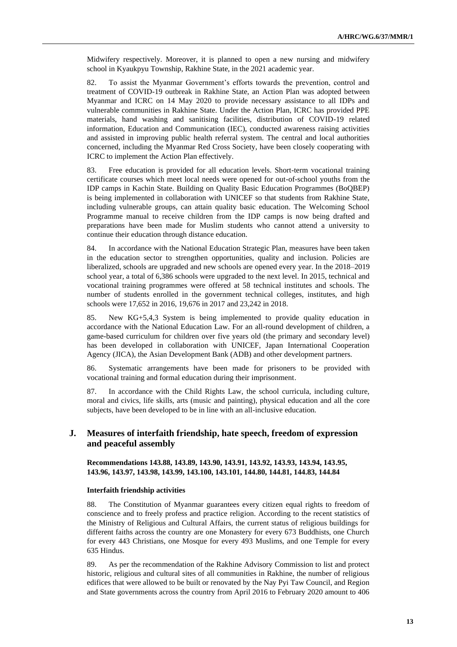Midwifery respectively. Moreover, it is planned to open a new nursing and midwifery school in Kyaukpyu Township, Rakhine State, in the 2021 academic year.

82. To assist the Myanmar Government's efforts towards the prevention, control and treatment of COVID-19 outbreak in Rakhine State, an Action Plan was adopted between Myanmar and ICRC on 14 May 2020 to provide necessary assistance to all IDPs and vulnerable communities in Rakhine State. Under the Action Plan, ICRC has provided PPE materials, hand washing and sanitising facilities, distribution of COVID-19 related information, Education and Communication (IEC), conducted awareness raising activities and assisted in improving public health referral system. The central and local authorities concerned, including the Myanmar Red Cross Society, have been closely cooperating with ICRC to implement the Action Plan effectively.

83. Free education is provided for all education levels. Short-term vocational training certificate courses which meet local needs were opened for out-of-school youths from the IDP camps in Kachin State. Building on Quality Basic Education Programmes (BoQBEP) is being implemented in collaboration with UNICEF so that students from Rakhine State, including vulnerable groups, can attain quality basic education. The Welcoming School Programme manual to receive children from the IDP camps is now being drafted and preparations have been made for Muslim students who cannot attend a university to continue their education through distance education.

84. In accordance with the National Education Strategic Plan, measures have been taken in the education sector to strengthen opportunities, quality and inclusion. Policies are liberalized, schools are upgraded and new schools are opened every year. In the 2018–2019 school year, a total of 6,386 schools were upgraded to the next level. In 2015, technical and vocational training programmes were offered at 58 technical institutes and schools. The number of students enrolled in the government technical colleges, institutes, and high schools were 17,652 in 2016, 19,676 in 2017 and 23,242 in 2018.

85. New KG+5,4,3 System is being implemented to provide quality education in accordance with the National Education Law. For an all-round development of children, a game-based curriculum for children over five years old (the primary and secondary level) has been developed in collaboration with UNICEF, Japan International Cooperation Agency (JICA), the Asian Development Bank (ADB) and other development partners.

86. Systematic arrangements have been made for prisoners to be provided with vocational training and formal education during their imprisonment.

87. In accordance with the Child Rights Law, the school curricula, including culture, moral and civics, life skills, arts (music and painting), physical education and all the core subjects, have been developed to be in line with an all-inclusive education.

## **J. Measures of interfaith friendship, hate speech, freedom of expression and peaceful assembly**

**Recommendations 143.88, 143.89, 143.90, 143.91, 143.92, 143.93, 143.94, 143.95, 143.96, 143.97, 143.98, 143.99, 143.100, 143.101, 144.80, 144.81, 144.83, 144.84**

#### **Interfaith friendship activities**

88. The Constitution of Myanmar guarantees every citizen equal rights to freedom of conscience and to freely profess and practice religion. According to the recent statistics of the Ministry of Religious and Cultural Affairs, the current status of religious buildings for different faiths across the country are one Monastery for every 673 Buddhists, one Church for every 443 Christians, one Mosque for every 493 Muslims, and one Temple for every 635 Hindus.

89. As per the recommendation of the Rakhine Advisory Commission to list and protect historic, religious and cultural sites of all communities in Rakhine, the number of religious edifices that were allowed to be built or renovated by the Nay Pyi Taw Council, and Region and State governments across the country from April 2016 to February 2020 amount to 406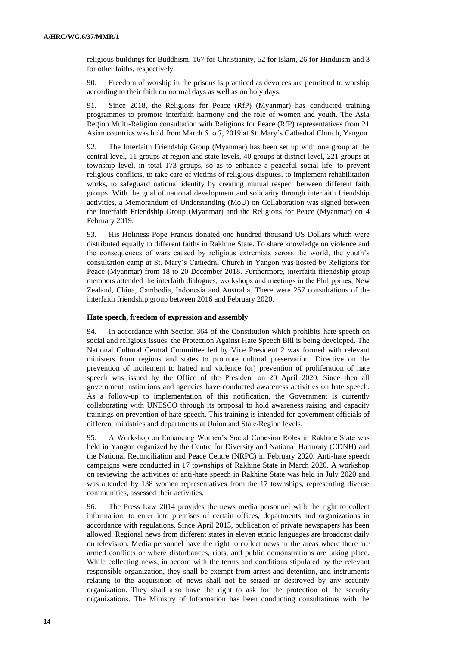religious buildings for Buddhism, 167 for Christianity, 52 for Islam, 26 for Hinduism and 3 for other faiths, respectively.

90. Freedom of worship in the prisons is practiced as devotees are permitted to worship according to their faith on normal days as well as on holy days.

91. Since 2018, the Religions for Peace (RfP) (Myanmar) has conducted training programmes to promote interfaith harmony and the role of women and youth. The Asia Region Multi-Religion consultation with Religions for Peace (RfP) representatives from 21 Asian countries was held from March 5 to 7, 2019 at St. Mary's Cathedral Church, Yangon.

92. The Interfaith Friendship Group (Myanmar) has been set up with one group at the central level, 11 groups at region and state levels, 40 groups at district level, 221 groups at township level, in total 173 groups, so as to enhance a peaceful social life, to prevent religious conflicts, to take care of victims of religious disputes, to implement rehabilitation works, to safeguard national identity by creating mutual respect between different faith groups. With the goal of national development and solidarity through interfaith friendship activities, a Memorandum of Understanding (MoU) on Collaboration was signed between the Interfaith Friendship Group (Myanmar) and the Religions for Peace (Myanmar) on 4 February 2019.

93. His Holiness Pope Francis donated one hundred thousand US Dollars which were distributed equally to different faiths in Rakhine State. To share knowledge on violence and the consequences of wars caused by religious extremists across the world, the youth's consultation camp at St. Mary's Cathedral Church in Yangon was hosted by Religions for Peace (Myanmar) from 18 to 20 December 2018. Furthermore, interfaith friendship group members attended the interfaith dialogues, workshops and meetings in the Philippines, New Zealand, China, Cambodia, Indonesia and Australia. There were 257 consultations of the interfaith friendship group between 2016 and February 2020.

#### **Hate speech, freedom of expression and assembly**

94. In accordance with Section 364 of the Constitution which prohibits hate speech on social and religious issues, the Protection Against Hate Speech Bill is being developed. The National Cultural Central Committee led by Vice President 2 was formed with relevant ministers from regions and states to promote cultural preservation. Directive on the prevention of incitement to hatred and violence (or) prevention of proliferation of hate speech was issued by the Office of the President on 20 April 2020. Since then all government institutions and agencies have conducted awareness activities on hate speech. As a follow-up to implementation of this notification, the Government is currently collaborating with UNESCO through its proposal to hold awareness raising and capacity trainings on prevention of hate speech. This training is intended for government officials of different ministries and departments at Union and State/Region levels.

95. A Workshop on Enhancing Women's Social Cohesion Roles in Rakhine State was held in Yangon organized by the Centre for Diversity and National Harmony (CDNH) and the National Reconciliation and Peace Centre (NRPC) in February 2020. Anti-hate speech campaigns were conducted in 17 townships of Rakhine State in March 2020. A workshop on reviewing the activities of anti-hate speech in Rakhine State was held in July 2020 and was attended by 138 women representatives from the 17 townships, representing diverse communities, assessed their activities.

96. The Press Law 2014 provides the news media personnel with the right to collect information, to enter into premises of certain offices, departments and organizations in accordance with regulations. Since April 2013, publication of private newspapers has been allowed. Regional news from different states in eleven ethnic languages are broadcast daily on television. Media personnel have the right to collect news in the areas where there are armed conflicts or where disturbances, riots, and public demonstrations are taking place. While collecting news, in accord with the terms and conditions stipulated by the relevant responsible organization, they shall be exempt from arrest and detention, and instruments relating to the acquisition of news shall not be seized or destroyed by any security organization. They shall also have the right to ask for the protection of the security organizations. The Ministry of Information has been conducting consultations with the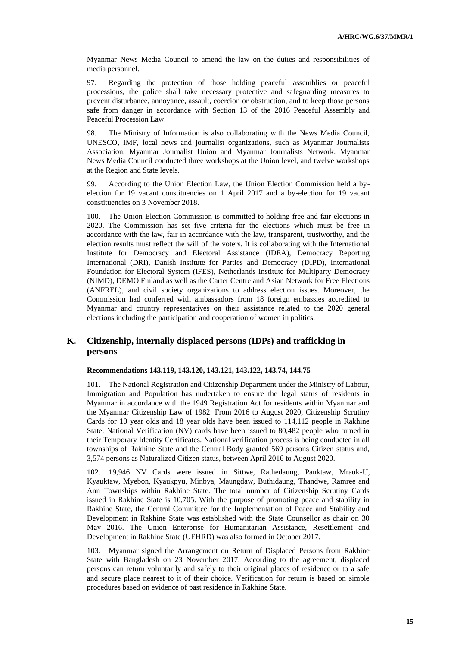Myanmar News Media Council to amend the law on the duties and responsibilities of media personnel.

97. Regarding the protection of those holding peaceful assemblies or peaceful processions, the police shall take necessary protective and safeguarding measures to prevent disturbance, annoyance, assault, coercion or obstruction, and to keep those persons safe from danger in accordance with Section 13 of the 2016 Peaceful Assembly and Peaceful Procession Law.

98. The Ministry of Information is also collaborating with the News Media Council, UNESCO, IMF, local news and journalist organizations, such as Myanmar Journalists Association, Myanmar Journalist Union and Myanmar Journalists Network. Myanmar News Media Council conducted three workshops at the Union level, and twelve workshops at the Region and State levels.

99. According to the Union Election Law, the Union Election Commission held a byelection for 19 vacant constituencies on 1 April 2017 and a by-election for 19 vacant constituencies on 3 November 2018.

100. The Union Election Commission is committed to holding free and fair elections in 2020. The Commission has set five criteria for the elections which must be free in accordance with the law, fair in accordance with the law, transparent, trustworthy, and the election results must reflect the will of the voters. It is collaborating with the International Institute for Democracy and Electoral Assistance (IDEA), Democracy Reporting International (DRI), Danish Institute for Parties and Democracy (DIPD), International Foundation for Electoral System (IFES), Netherlands Institute for Multiparty Democracy (NIMD), DEMO Finland as well as the Carter Centre and Asian Network for Free Elections (ANFREL), and civil society organizations to address election issues. Moreover, the Commission had conferred with ambassadors from 18 foreign embassies accredited to Myanmar and country representatives on their assistance related to the 2020 general elections including the participation and cooperation of women in politics.

## **K. Citizenship, internally displaced persons (IDPs) and trafficking in persons**

#### **Recommendations 143.119, 143.120, 143.121, 143.122, 143.74, 144.75**

101. The National Registration and Citizenship Department under the Ministry of Labour, Immigration and Population has undertaken to ensure the legal status of residents in Myanmar in accordance with the 1949 Registration Act for residents within Myanmar and the Myanmar Citizenship Law of 1982. From 2016 to August 2020, Citizenship Scrutiny Cards for 10 year olds and 18 year olds have been issued to 114,112 people in Rakhine State. National Verification (NV) cards have been issued to 80,482 people who turned in their Temporary Identity Certificates. National verification process is being conducted in all townships of Rakhine State and the Central Body granted 569 persons Citizen status and, 3,574 persons as Naturalized Citizen status, between April 2016 to August 2020.

102. 19,946 NV Cards were issued in Sittwe, Rathedaung, Pauktaw, Mrauk-U, Kyauktaw, Myebon, Kyaukpyu, Minbya, Maungdaw, Buthidaung, Thandwe, Ramree and Ann Townships within Rakhine State. The total number of Citizenship Scrutiny Cards issued in Rakhine State is 10,705. With the purpose of promoting peace and stability in Rakhine State, the Central Committee for the Implementation of Peace and Stability and Development in Rakhine State was established with the State Counsellor as chair on 30 May 2016. The Union Enterprise for Humanitarian Assistance, Resettlement and Development in Rakhine State (UEHRD) was also formed in October 2017.

103. Myanmar signed the Arrangement on Return of Displaced Persons from Rakhine State with Bangladesh on 23 November 2017. According to the agreement, displaced persons can return voluntarily and safely to their original places of residence or to a safe and secure place nearest to it of their choice. Verification for return is based on simple procedures based on evidence of past residence in Rakhine State.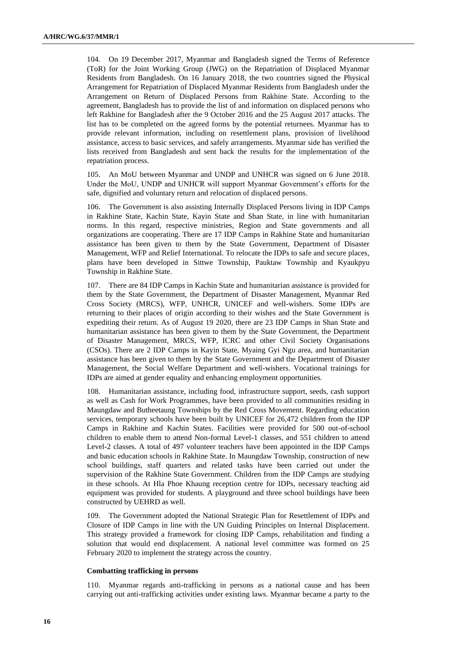104. On 19 December 2017, Myanmar and Bangladesh signed the Terms of Reference (ToR) for the Joint Working Group (JWG) on the Repatriation of Displaced Myanmar Residents from Bangladesh. On 16 January 2018, the two countries signed the Physical Arrangement for Repatriation of Displaced Myanmar Residents from Bangladesh under the Arrangement on Return of Displaced Persons from Rakhine State. According to the agreement, Bangladesh has to provide the list of and information on displaced persons who left Rakhine for Bangladesh after the 9 October 2016 and the 25 August 2017 attacks. The list has to be completed on the agreed forms by the potential returnees. Myanmar has to provide relevant information, including on resettlement plans, provision of livelihood assistance, access to basic services, and safely arrangements. Myanmar side has verified the lists received from Bangladesh and sent back the results for the implementation of the repatriation process.

105. An MoU between Myanmar and UNDP and UNHCR was signed on 6 June 2018. Under the MoU, UNDP and UNHCR will support Myanmar Government's efforts for the safe, dignified and voluntary return and relocation of displaced persons.

106. The Government is also assisting Internally Displaced Persons living in IDP Camps in Rakhine State, Kachin State, Kayin State and Shan State, in line with humanitarian norms. In this regard, respective ministries, Region and State governments and all organizations are cooperating. There are 17 IDP Camps in Rakhine State and humanitarian assistance has been given to them by the State Government, Department of Disaster Management, WFP and Relief International. To relocate the IDPs to safe and secure places, plans have been developed in Sittwe Township, Pauktaw Township and Kyaukpyu Township in Rakhine State.

107. There are 84 IDP Camps in Kachin State and humanitarian assistance is provided for them by the State Government, the Department of Disaster Management, Myanmar Red Cross Society (MRCS), WFP, UNHCR, UNICEF and well-wishers. Some IDPs are returning to their places of origin according to their wishes and the State Government is expediting their return. As of August 19 2020, there are 23 IDP Camps in Shan State and humanitarian assistance has been given to them by the State Government, the Department of Disaster Management, MRCS, WFP, ICRC and other Civil Society Organisations (CSOs). There are 2 IDP Camps in Kayin State, Myaing Gyi Ngu area, and humanitarian assistance has been given to them by the State Government and the Department of Disaster Management, the Social Welfare Department and well-wishers. Vocational trainings for IDPs are aimed at gender equality and enhancing employment opportunities.

108. Humanitarian assistance, including food, infrastructure support, seeds, cash support as well as Cash for Work Programmes, have been provided to all communities residing in Maungdaw and Butheetaung Townships by the Red Cross Movement. Regarding education services, temporary schools have been built by UNICEF for 26,472 children from the IDP Camps in Rakhine and Kachin States. Facilities were provided for 500 out-of-school children to enable them to attend Non-formal Level-1 classes, and 551 children to attend Level-2 classes. A total of 497 volunteer teachers have been appointed in the IDP Camps and basic education schools in Rakhine State. In Maungdaw Township, construction of new school buildings, staff quarters and related tasks have been carried out under the supervision of the Rakhine State Government. Children from the IDP Camps are studying in these schools. At Hla Phoe Khaung reception centre for IDPs, necessary teaching aid equipment was provided for students. A playground and three school buildings have been constructed by UEHRD as well.

109. The Government adopted the National Strategic Plan for Resettlement of IDPs and Closure of IDP Camps in line with the UN Guiding Principles on Internal Displacement. This strategy provided a framework for closing IDP Camps, rehabilitation and finding a solution that would end displacement. A national level committee was formed on 25 February 2020 to implement the strategy across the country.

#### **Combatting trafficking in persons**

110. Myanmar regards anti-trafficking in persons as a national cause and has been carrying out anti-trafficking activities under existing laws. Myanmar became a party to the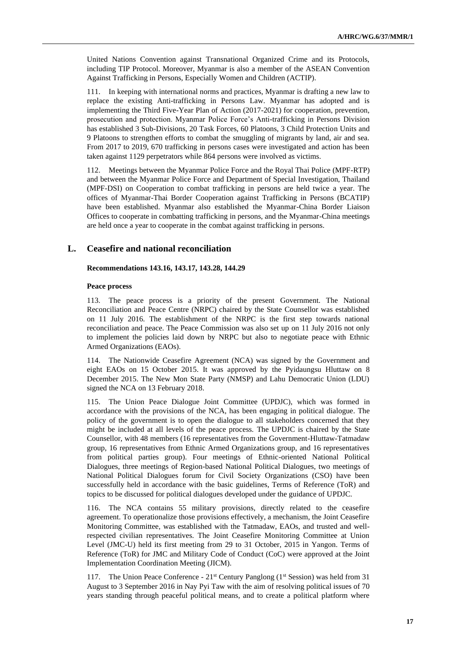United Nations Convention against Transnational Organized Crime and its Protocols, including TIP Protocol. Moreover, Myanmar is also a member of the ASEAN Convention Against Trafficking in Persons, Especially Women and Children (ACTIP).

111. In keeping with international norms and practices, Myanmar is drafting a new law to replace the existing Anti-trafficking in Persons Law. Myanmar has adopted and is implementing the Third Five-Year Plan of Action (2017-2021) for cooperation, prevention, prosecution and protection. Myanmar Police Force's Anti-trafficking in Persons Division has established 3 Sub-Divisions, 20 Task Forces, 60 Platoons, 3 Child Protection Units and 9 Platoons to strengthen efforts to combat the smuggling of migrants by land, air and sea. From 2017 to 2019, 670 trafficking in persons cases were investigated and action has been taken against 1129 perpetrators while 864 persons were involved as victims.

112. Meetings between the Myanmar Police Force and the Royal Thai Police (MPF-RTP) and between the Myanmar Police Force and Department of Special Investigation, Thailand (MPF-DSI) on Cooperation to combat trafficking in persons are held twice a year. The offices of Myanmar-Thai Border Cooperation against Trafficking in Persons (BCATIP) have been established. Myanmar also established the Myanmar-China Border Liaison Offices to cooperate in combatting trafficking in persons, and the Myanmar-China meetings are held once a year to cooperate in the combat against trafficking in persons.

## **L. Ceasefire and national reconciliation**

#### **Recommendations 143.16, 143.17, 143.28, 144.29**

#### **Peace process**

113. The peace process is a priority of the present Government. The National Reconciliation and Peace Centre (NRPC) chaired by the State Counsellor was established on 11 July 2016. The establishment of the NRPC is the first step towards national reconciliation and peace. The Peace Commission was also set up on 11 July 2016 not only to implement the policies laid down by NRPC but also to negotiate peace with Ethnic Armed Organizations (EAOs).

114. The Nationwide Ceasefire Agreement (NCA) was signed by the Government and eight EAOs on 15 October 2015. It was approved by the Pyidaungsu Hluttaw on 8 December 2015. The New Mon State Party (NMSP) and Lahu Democratic Union (LDU) signed the NCA on 13 February 2018.

115. The Union Peace Dialogue Joint Committee (UPDJC), which was formed in accordance with the provisions of the NCA, has been engaging in political dialogue. The policy of the government is to open the dialogue to all stakeholders concerned that they might be included at all levels of the peace process. The UPDJC is chaired by the State Counsellor, with 48 members (16 representatives from the Government-Hluttaw-Tatmadaw group, 16 representatives from Ethnic Armed Organizations group, and 16 representatives from political parties group). Four meetings of Ethnic-oriented National Political Dialogues, three meetings of Region-based National Political Dialogues, two meetings of National Political Dialogues forum for Civil Society Organizations (CSO) have been successfully held in accordance with the basic guidelines, Terms of Reference (ToR) and topics to be discussed for political dialogues developed under the guidance of UPDJC.

116. The NCA contains 55 military provisions, directly related to the ceasefire agreement. To operationalize those provisions effectively, a mechanism, the Joint Ceasefire Monitoring Committee, was established with the Tatmadaw, EAOs, and trusted and wellrespected civilian representatives. The Joint Ceasefire Monitoring Committee at Union Level (JMC-U) held its first meeting from 29 to 31 October, 2015 in Yangon. Terms of Reference (ToR) for JMC and Military Code of Conduct (CoC) were approved at the Joint Implementation Coordination Meeting (JICM).

117. The Union Peace Conference - 21<sup>st</sup> Century Panglong (1<sup>st</sup> Session) was held from 31 August to 3 September 2016 in Nay Pyi Taw with the aim of resolving political issues of 70 years standing through peaceful political means, and to create a political platform where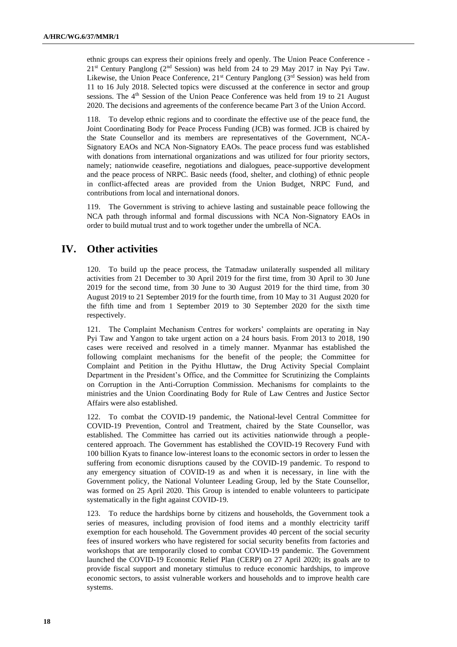ethnic groups can express their opinions freely and openly. The Union Peace Conference - 21st Century Panglong (2nd Session) was held from 24 to 29 May 2017 in Nay Pyi Taw. Likewise, the Union Peace Conference, 21<sup>st</sup> Century Panglong (3<sup>rd</sup> Session) was held from 11 to 16 July 2018. Selected topics were discussed at the conference in sector and group sessions. The 4<sup>th</sup> Session of the Union Peace Conference was held from 19 to 21 August 2020. The decisions and agreements of the conference became Part 3 of the Union Accord.

118. To develop ethnic regions and to coordinate the effective use of the peace fund, the Joint Coordinating Body for Peace Process Funding (JCB) was formed. JCB is chaired by the State Counsellor and its members are representatives of the Government, NCA-Signatory EAOs and NCA Non-Signatory EAOs. The peace process fund was established with donations from international organizations and was utilized for four priority sectors, namely; nationwide ceasefire, negotiations and dialogues, peace-supportive development and the peace process of NRPC. Basic needs (food, shelter, and clothing) of ethnic people in conflict-affected areas are provided from the Union Budget, NRPC Fund, and contributions from local and international donors.

119. The Government is striving to achieve lasting and sustainable peace following the NCA path through informal and formal discussions with NCA Non-Signatory EAOs in order to build mutual trust and to work together under the umbrella of NCA.

# **IV. Other activities**

120. To build up the peace process, the Tatmadaw unilaterally suspended all military activities from 21 December to 30 April 2019 for the first time, from 30 April to 30 June 2019 for the second time, from 30 June to 30 August 2019 for the third time, from 30 August 2019 to 21 September 2019 for the fourth time, from 10 May to 31 August 2020 for the fifth time and from 1 September 2019 to 30 September 2020 for the sixth time respectively.

121. The Complaint Mechanism Centres for workers' complaints are operating in Nay Pyi Taw and Yangon to take urgent action on a 24 hours basis. From 2013 to 2018, 190 cases were received and resolved in a timely manner. Myanmar has established the following complaint mechanisms for the benefit of the people; the Committee for Complaint and Petition in the Pyithu Hluttaw, the Drug Activity Special Complaint Department in the President's Office, and the Committee for Scrutinizing the Complaints on Corruption in the Anti-Corruption Commission. Mechanisms for complaints to the ministries and the Union Coordinating Body for Rule of Law Centres and Justice Sector Affairs were also established.

122. To combat the COVID-19 pandemic, the National-level Central Committee for COVID-19 Prevention, Control and Treatment, chaired by the State Counsellor, was established. The Committee has carried out its activities nationwide through a peoplecentered approach. The Government has established the COVID-19 Recovery Fund with 100 billion Kyats to finance low-interest loans to the economic sectors in order to lessen the suffering from economic disruptions caused by the COVID-19 pandemic. To respond to any emergency situation of COVID-19 as and when it is necessary, in line with the Government policy, the National Volunteer Leading Group, led by the State Counsellor, was formed on 25 April 2020. This Group is intended to enable volunteers to participate systematically in the fight against COVID-19.

123. To reduce the hardships borne by citizens and households, the Government took a series of measures, including provision of food items and a monthly electricity tariff exemption for each household. The Government provides 40 percent of the social security fees of insured workers who have registered for social security benefits from factories and workshops that are temporarily closed to combat COVID-19 pandemic. The Government launched the COVID-19 Economic Relief Plan (CERP) on 27 April 2020; its goals are to provide fiscal support and monetary stimulus to reduce economic hardships, to improve economic sectors, to assist vulnerable workers and households and to improve health care systems.